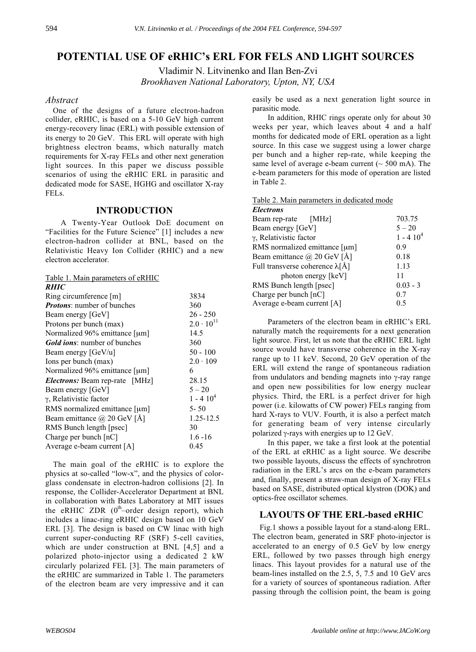# **POTENTIAL USE OF eRHIC's ERL FOR FELS AND LIGHT SOURCES**

Vladimir N. Litvinenko and Ilan Ben-Zvi *Brookhaven National Laboratory, Upton, NY, USA*

### *Abstract*

One of the designs of a future electron-hadron collider, eRHIC, is based on a 5-10 GeV high current energy-recovery linac (ERL) with possible extension of its energy to 20 GeV. This ERL will operate with high brightness electron beams, which naturally match requirements for X-ray FELs and other next generation light sources. In this paper we discuss possible scenarios of using the eRHIC ERL in parasitic and dedicated mode for SASE, HGHG and oscillator X-ray FELs.

## **INTRODUCTION**

A Twenty-Year Outlook DoE document on "Facilities for the Future Science" [1] includes a new electron-hadron collider at BNL, based on the Relativistic Heavy Ion Collider (RHIC) and a new electron accelerator.

| Table 1. Main parameters of eRHIC<br><i><b>RHIC</b></i> |                     |
|---------------------------------------------------------|---------------------|
| Ring circumference [m]                                  | 3834                |
| <i>Protons:</i> number of bunches                       | 360                 |
| Beam energy [GeV]                                       | $26 - 250$          |
| Protons per bunch (max)                                 | $2.0 \cdot 10^{11}$ |
| Normalized 96% emittance [µm]                           | 14.5                |
| <i>Gold ions:</i> number of bunches                     | 360                 |
| Beam energy [GeV/u]                                     | $50 - 100$          |
| Ions per bunch (max)                                    | $2.0 \cdot 109$     |
| Normalized 96% emittance [µm]                           | 6                   |
| <i>Electrons:</i> Beam rep-rate [MHz]                   | 28.15               |
| Beam energy [GeV]                                       | $5 - 20$            |
| γ, Relativistic factor                                  | $1 - 4104$          |
| RMS normalized emittance [µm]                           | $5 - 50$            |
| Beam emittance @ 20 GeV [Å]                             | 1.25-12.5           |
| RMS Bunch length [psec]                                 | 30                  |
| Charge per bunch [nC]                                   | $1.6 - 16$          |
| Average e-beam current [A]                              | 0.45                |

The main goal of the eRHIC is to explore the physics at so-called "low-x", and the physics of colorglass condensate in electron-hadron collisions [2]. In response, the Collider-Accelerator Department at BNL in collaboration with Bates Laboratory at MIT issues the eRHIC ZDR  $(0<sup>th</sup>-order$  design report), which includes a linac-ring eRHIC design based on 10 GeV ERL [3]. The design is based on CW linac with high current super-conducting RF (SRF) 5-cell cavities, which are under construction at BNL [4,5] and a polarized photo-injector using a dedicated 2 kW circularly polarized FEL [3]. The main parameters of the eRHIC are summarized in Table 1. The parameters of the electron beam are very impressive and it can

easily be used as a next generation light source in parasitic mode.

In addition, RHIC rings operate only for about 30 weeks per year, which leaves about 4 and a half months for dedicated mode of ERL operation as a light source. In this case we suggest using a lower charge per bunch and a higher rep-rate, while keeping the same level of average e-beam current  $($   $\sim$  500 mA). The e-beam parameters for this mode of operation are listed in Table 2.

Table 2. Main parameters in dedicated mode

| <b>Electrons</b>                        |            |
|-----------------------------------------|------------|
| Beam rep-rate [MHz]                     | 703.75     |
| Beam energy [GeV]                       | $5 - 20$   |
| γ, Relativistic factor                  | $1 - 4104$ |
| RMS normalized emittance [µm]           | 0.9        |
| Beam emittance $\omega$ 20 GeV [Å]      | 0.18       |
| Full transverse coherence $\lambda$ [Å] | 1.13       |
| photon energy [keV]                     | 11         |
| RMS Bunch length [psec]                 | $0.03 - 3$ |
| Charge per bunch $\lceil nC \rceil$     | 0.7        |
| Average e-beam current [A]              | 0.5        |
|                                         |            |

Parameters of the electron beam in eRHIC's ERL naturally match the requirements for a next generation light source. First, let us note that the eRHIC ERL light source would have transverse coherence in the X-ray range up to 11 keV. Second, 20 GeV operation of the ERL will extend the range of spontaneous radiation from undulators and bending magnets into γ-ray range and open new possibilities for low energy nuclear physics. Third, the ERL is a perfect driver for high power (i.e. kilowatts of CW power) FELs ranging from hard X-rays to VUV. Fourth, it is also a perfect match for generating beam of very intense circularly polarized γ-rays with energies up to 12 GeV.

In this paper, we take a first look at the potential of the ERL at eRHIC as a light source. We describe two possible layouts, discuss the effects of synchrotron radiation in the ERL's arcs on the e-beam parameters and, finally, present a straw-man design of X-ray FELs based on SASE, distributed optical klystron (DOK) and optics-free oscillator schemes.

## **LAYOUTS OF THE ERL-based eRHIC**

Fig.1 shows a possible layout for a stand-along ERL. The electron beam, generated in SRF photo-injector is accelerated to an energy of 0.5 GeV by low energy ERL, followed by two passes through high energy linacs. This layout provides for a natural use of the beam-lines installed on the 2.5, 5, 7.5 and 10 GeV arcs for a variety of sources of spontaneous radiation. After passing through the collision point, the beam is going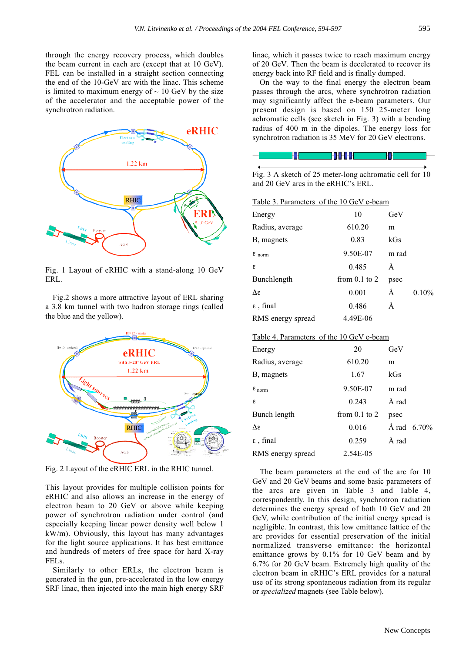through the energy recovery process, which doubles the beam current in each arc (except that at 10 GeV). FEL can be installed in a straight section connecting the end of the 10-GeV arc with the linac. This scheme is limited to maximum energy of  $\sim 10$  GeV by the size of the accelerator and the acceptable power of the synchrotron radiation.



Fig. 1 Layout of eRHIC with a stand-along 10 GeV ERL.

Fig.2 shows a more attractive layout of ERL sharing a 3.8 km tunnel with two hadron storage rings (called the blue and the yellow).



Fig. 2 Layout of the eRHIC ERL in the RHIC tunnel.

This layout provides for multiple collision points for eRHIC and also allows an increase in the energy of electron beam to 20 GeV or above while keeping power of synchrotron radiation under control (and especially keeping linear power density well below 1 kW/m). Obviously, this layout has many advantages for the light source applications. It has best emittance and hundreds of meters of free space for hard X-ray FELs.

Similarly to other ERLs, the electron beam is generated in the gun, pre-accelerated in the low energy SRF linac, then injected into the main high energy SRF linac, which it passes twice to reach maximum energy of 20 GeV. Then the beam is decelerated to recover its energy back into RF field and is finally dumped.

On the way to the final energy the electron beam passes through the arcs, where synchrotron radiation may significantly affect the e-beam parameters. Our present design is based on 150 25-meter long achromatic cells (see sketch in Fig. 3) with a bending radius of 400 m in the dipoles. The energy loss for synchrotron radiation is 35 MeV for 20 GeV electrons.



Fig. 3 A sketch of 25 meter-long achromatic cell for 10 and 20 GeV arcs in the eRHIC's ERL.

| Table 3. Parameters of the 10 GeV e-beam |                   |       |          |  |
|------------------------------------------|-------------------|-------|----------|--|
| Energy                                   | 10                | GeV   |          |  |
| Radius, average                          | 610.20            | m     |          |  |
| B, magnets                               | 0.83              | kGs   |          |  |
| $\epsilon$ <sub>norm</sub>               | 9.50E-07          | m rad |          |  |
| ε                                        | 0.485             | Ă     |          |  |
| Bunchlength                              | from $0.1$ to $2$ | psec  |          |  |
| Λε                                       | 0.001             | Å     | $0.10\%$ |  |
| $\epsilon$ , final                       | 0.486             | Å     |          |  |
| RMS energy spread                        | 4.49E-06          |       |          |  |

#### Table 4. Parameters of the 10 GeV e-beam

| Energy                     | 20                | GeV   |                |
|----------------------------|-------------------|-------|----------------|
| Radius, average            | 610.20            | m     |                |
| B, magnets                 | 1.67              | kGs   |                |
| $\epsilon$ <sub>norm</sub> | 9.50E-07          | m rad |                |
| ε                          | 0.243             | Å rad |                |
| Bunch length               | from $0.1$ to $2$ | psec  |                |
| Λε                         | 0.016             |       | Å rad $6.70\%$ |
| $\varepsilon$ , final      | 0.259             | Å rad |                |
| RMS energy spread          | 2.54E-05          |       |                |
|                            |                   |       |                |

The beam parameters at the end of the arc for 10 GeV and 20 GeV beams and some basic parameters of the arcs are given in Table 3 and Table 4, correspondently. In this design, synchrotron radiation determines the energy spread of both 10 GeV and 20 GeV, while contribution of the initial energy spread is negligible. In contrast, this low emittance lattice of the arc provides for essential preservation of the initial normalized transverse emittance: the horizontal emittance grows by 0.1% for 10 GeV beam and by 6.7% for 20 GeV beam. Extremely high quality of the electron beam in eRHIC's ERL provides for a natural use of its strong spontaneous radiation from its regular or *specialized* magnets (see Table below).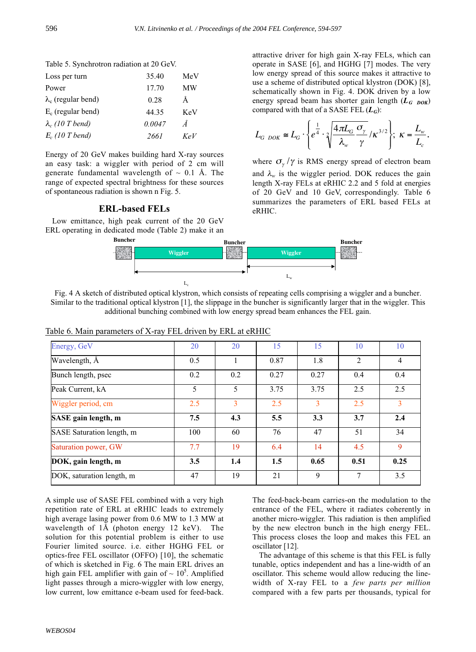#### Table 5. Synchrotron radiation at 20 GeV.

| Loss per turn              | 35.40  | MeV |
|----------------------------|--------|-----|
| Power                      | 17.70  | МW  |
| $\lambda_c$ (regular bend) | 0.28   | Å   |
| $E_c$ (regular bend)       | 44.35  | KeV |
| $\lambda_c$ (10 T bend)    | 0.0047 | Ă   |
| $E_c$ (10 T bend)          | 2661   | KeV |

Energy of 20 GeV makes building hard X-ray sources an easy task: a wiggler with period of 2 cm will generate fundamental wavelength of  $\sim$  0.1 Å. The range of expected spectral brightness for these sources of spontaneous radiation is shown n Fig. 5.

#### **ERL-based FELs**

Low emittance, high peak current of the 20 GeV ERL operating in dedicated mode (Table 2) make it an attractive driver for high gain X-ray FELs, which can operate in SASE [6], and HGHG [7] modes. The very low energy spread of this source makes it attractive to use a scheme of distributed optical klystron (DOK) [8], schematically shown in Fig. 4. DOK driven by a low energy spread beam has shorter gain length  $(L_G_{DOK})$ compared with that of a SASE FEL (*LG*):

$$
L_{G\,DOK}\cong L_G\cdot\left\{e^{\frac{1}{4}}\cdot\sqrt[2]{\frac{4\pi L_G}{\lambda_w}\frac{\sigma_\gamma}{\gamma}}/K^{3/2}\right\};\;K=\frac{L_w}{L_c}.
$$

where  $\sigma_{\gamma}/\gamma$  is RMS energy spread of electron beam and  $\lambda_w$  is the wiggler period. DOK reduces the gain length X-ray FELs at eRHIC 2.2 and 5 fold at energies of 20 GeV and 10 GeV, correspondingly. Table 6 summarizes the parameters of ERL based FELs at eRHIC.



Fig. 4 A sketch of distributed optical klystron, which consists of repeating cells comprising a wiggler and a buncher. Similar to the traditional optical klystron [1], the slippage in the buncher is significantly larger that in the wiggler. This additional bunching combined with low energy spread beam enhances the FEL gain.

| Energy, GeV               | 20  | 20  | 15   | 15   | 10   | 10             |
|---------------------------|-----|-----|------|------|------|----------------|
| Wavelength, A             | 0.5 | 1   | 0.87 | 1.8  | 2    | $\overline{4}$ |
| Bunch length, psec        | 0.2 | 0.2 | 0.27 | 0.27 | 0.4  | 0.4            |
| Peak Current, kA          | 5   | 5   | 3.75 | 3.75 | 2.5  | 2.5            |
| Wiggler period, cm        | 2.5 | 3   | 2.5  | 3    | 2.5  | 3              |
| SASE gain length, m       | 7.5 | 4.3 | 5.5  | 3.3  | 3.7  | 2.4            |
| SASE Saturation length, m | 100 | 60  | 76   | 47   | 51   | 34             |
| Saturation power, GW      | 7.7 | 19  | 6.4  | 14   | 4.5  | 9              |
| DOK, gain length, m       | 3.5 | 1.4 | 1.5  | 0.65 | 0.51 | 0.25           |
| DOK, saturation length, m | 47  | 19  | 21   | 9    | 7    | 3.5            |

Table 6. Main parameters of X-ray FEL driven by ERL at eRHIC

A simple use of SASE FEL combined with a very high repetition rate of ERL at eRHIC leads to extremely high average lasing power from 0.6 MW to 1.3 MW at wavelength of 1Å (photon energy 12 keV). The solution for this potential problem is either to use Fourier limited source. i.e. either HGHG FEL or optics-free FEL oscillator (OFFO) [10], the schematic of which is sketched in Fig. 6 The main ERL drives an high gain FEL amplifier with gain of  $\sim 10^5$ . Amplified light passes through a micro-wiggler with low energy, low current, low emittance e-beam used for feed-back. The feed-back-beam carries-on the modulation to the entrance of the FEL, where it radiates coherently in another micro-wiggler. This radiation is then amplified by the new electron bunch in the high energy FEL. This process closes the loop and makes this FEL an oscillator [12].

The advantage of this scheme is that this FEL is fully tunable, optics independent and has a line-width of an oscillator. This scheme would allow reducing the linewidth of X-ray FEL to a *few parts per million* compared with a few parts per thousands, typical for